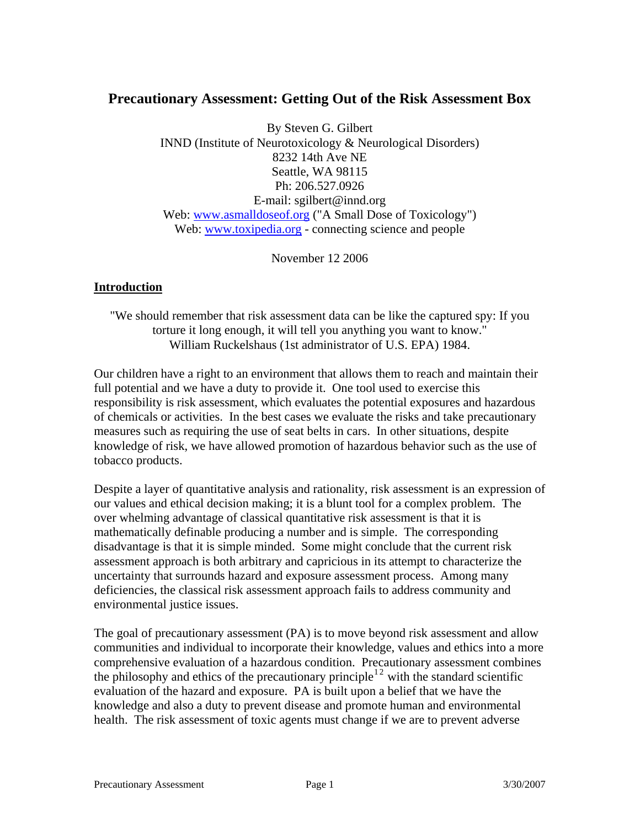# **Precautionary Assessment: Getting Out of the Risk Assessment Box**

By Steven G. Gilbert INND (Institute of Neurotoxicology & Neurological Disorders) 8232 14th Ave NE Seattle, WA 98115 Ph: 206.527.0926 E-mail: sgilbert@innd.org Web: [www.asmalldoseof.org](http://www.asmalldoseof.org/) ("A Small Dose of Toxicology") Web: [www.toxipedia.org](http://www.toxipedia.org/) - connecting science and people

November 12 2006

### **Introduction**

# "We should remember that risk assessment data can be like the captured spy: If you torture it long enough, it will tell you anything you want to know." William Ruckelshaus (1st administrator of U.S. EPA) 1984.

Our children have a right to an environment that allows them to reach and maintain their full potential and we have a duty to provide it. One tool used to exercise this responsibility is risk assessment, which evaluates the potential exposures and hazardous of chemicals or activities. In the best cases we evaluate the risks and take precautionary measures such as requiring the use of seat belts in cars. In other situations, despite knowledge of risk, we have allowed promotion of hazardous behavior such as the use of tobacco products.

Despite a layer of quantitative analysis and rationality, risk assessment is an expression of our values and ethical decision making; it is a blunt tool for a complex problem. The over whelming advantage of classical quantitative risk assessment is that it is mathematically definable producing a number and is simple. The corresponding disadvantage is that it is simple minded. Some might conclude that the current risk assessment approach is both arbitrary and capricious in its attempt to characterize the uncertainty that surrounds hazard and exposure assessment process. Among many deficiencies, the classical risk assessment approach fails to address community and environmental justice issues.

The goal of precautionary assessment (PA) is to move beyond risk assessment and allow communities and individual to incorporate their knowledge, values and ethics into a more comprehensive evaluation of a hazardous condition. Precautionary assessment combines the philosophy and ethics of the precautionary principle<sup>[1](#page-9-0)[2](#page-9-1)</sup> with the standard scientific evaluation of the hazard and exposure. PA is built upon a belief that we have the knowledge and also a duty to prevent disease and promote human and environmental health. The risk assessment of toxic agents must change if we are to prevent adverse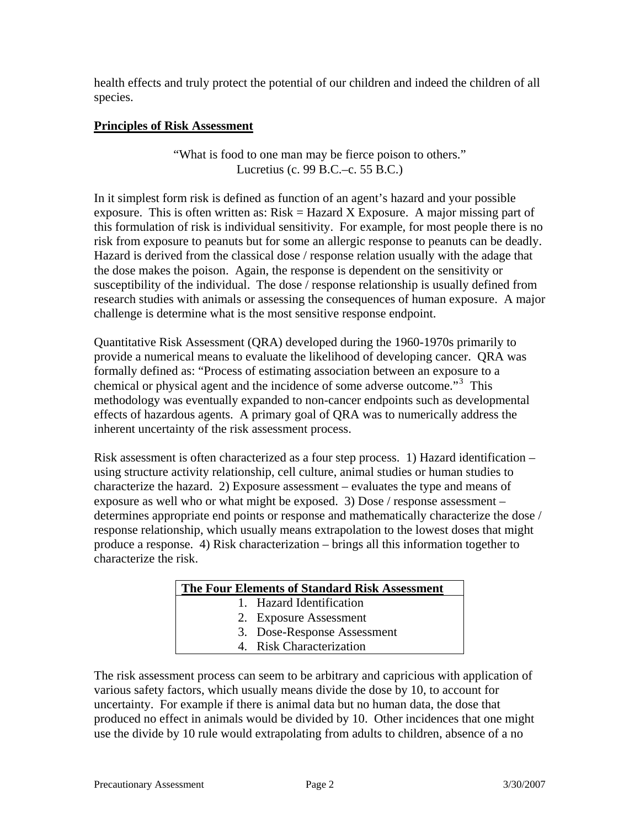health effects and truly protect the potential of our children and indeed the children of all species.

# **Principles of Risk Assessment**

"What is food to one man may be fierce poison to others." Lucretius (c. 99 B.C.–c. 55 B.C.)

In it simplest form risk is defined as function of an agent's hazard and your possible exposure. This is often written as:  $Risk = Hazard X Exposure$ . A major missing part of this formulation of risk is individual sensitivity. For example, for most people there is no risk from exposure to peanuts but for some an allergic response to peanuts can be deadly. Hazard is derived from the classical dose / response relation usually with the adage that the dose makes the poison. Again, the response is dependent on the sensitivity or susceptibility of the individual. The dose / response relationship is usually defined from research studies with animals or assessing the consequences of human exposure. A major challenge is determine what is the most sensitive response endpoint.

Quantitative Risk Assessment (QRA) developed during the 1960-1970s primarily to provide a numerical means to evaluate the likelihood of developing cancer. QRA was formally defined as: "Process of estimating association between an exposure to a chemical or physical agent and the incidence of some adverse outcome."<sup>[3](#page-9-1)</sup> This methodology was eventually expanded to non-cancer endpoints such as developmental effects of hazardous agents. A primary goal of QRA was to numerically address the inherent uncertainty of the risk assessment process.

Risk assessment is often characterized as a four step process. 1) Hazard identification – using structure activity relationship, cell culture, animal studies or human studies to characterize the hazard. 2) Exposure assessment – evaluates the type and means of exposure as well who or what might be exposed. 3) Dose / response assessment – determines appropriate end points or response and mathematically characterize the dose / response relationship, which usually means extrapolation to the lowest doses that might produce a response. 4) Risk characterization – brings all this information together to characterize the risk.

| The Four Elements of Standard Risk Assessment |                             |  |  |
|-----------------------------------------------|-----------------------------|--|--|
|                                               | 1. Hazard Identification    |  |  |
|                                               | 2. Exposure Assessment      |  |  |
|                                               | 3. Dose-Response Assessment |  |  |
|                                               | 4. Risk Characterization    |  |  |

The risk assessment process can seem to be arbitrary and capricious with application of various safety factors, which usually means divide the dose by 10, to account for uncertainty. For example if there is animal data but no human data, the dose that produced no effect in animals would be divided by 10. Other incidences that one might use the divide by 10 rule would extrapolating from adults to children, absence of a no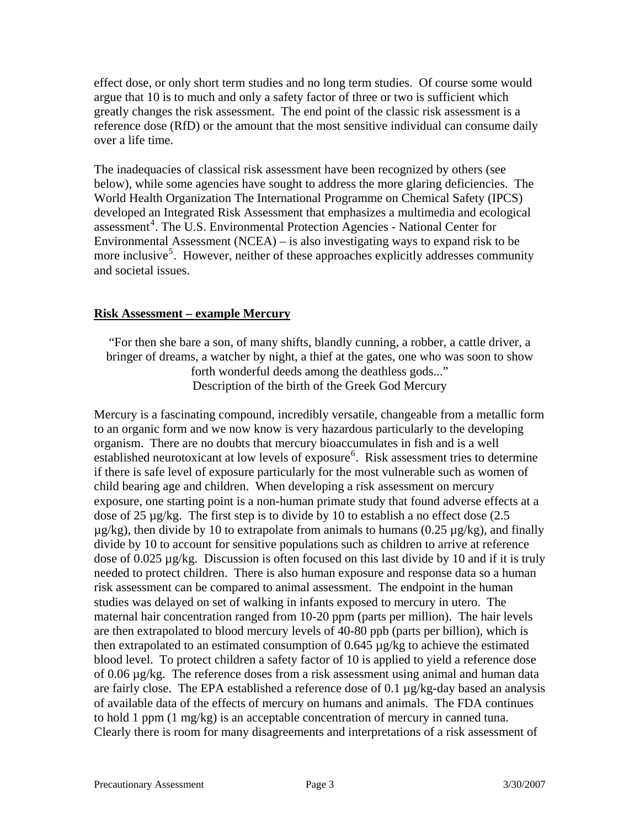effect dose, or only short term studies and no long term studies. Of course some would argue that 10 is to much and only a safety factor of three or two is sufficient which greatly changes the risk assessment. The end point of the classic risk assessment is a reference dose (RfD) or the amount that the most sensitive individual can consume daily over a life time.

The inadequacies of classical risk assessment have been recognized by others (see below), while some agencies have sought to address the more glaring deficiencies. The World Health Organization The International Programme on Chemical Safety (IPCS) developed an Integrated Risk Assessment that emphasizes a multimedia and ecological assessment<sup>[4](#page-9-1)</sup>. The U.S. Environmental Protection Agencies - National Center for Environmental Assessment (NCEA) – is also investigating ways to expand risk to be more inclusive<sup>[5](#page-9-1)</sup>. However, neither of these approaches explicitly addresses community and societal issues.

### **Risk Assessment – example Mercury**

"For then she bare a son, of many shifts, blandly cunning, a robber, a cattle driver, a bringer of dreams, a watcher by night, a thief at the gates, one who was soon to show forth wonderful deeds among the deathless gods..." Description of the birth of the Greek God Mercury

Mercury is a fascinating compound, incredibly versatile, changeable from a metallic form to an organic form and we now know is very hazardous particularly to the developing organism. There are no doubts that mercury bioaccumulates in fish and is a well established neurotoxicant at low levels of exposure<sup>[6](#page-9-1)</sup>. Risk assessment tries to determine if there is safe level of exposure particularly for the most vulnerable such as women of child bearing age and children. When developing a risk assessment on mercury exposure, one starting point is a non-human primate study that found adverse effects at a dose of 25 µg/kg. The first step is to divide by 10 to establish a no effect dose (2.5  $\mu$ g/kg), then divide by 10 to extrapolate from animals to humans (0.25  $\mu$ g/kg), and finally divide by 10 to account for sensitive populations such as children to arrive at reference dose of 0.025 µg/kg. Discussion is often focused on this last divide by 10 and if it is truly needed to protect children. There is also human exposure and response data so a human risk assessment can be compared to animal assessment. The endpoint in the human studies was delayed on set of walking in infants exposed to mercury in utero. The maternal hair concentration ranged from 10-20 ppm (parts per million). The hair levels are then extrapolated to blood mercury levels of 40-80 ppb (parts per billion), which is then extrapolated to an estimated consumption of 0.645 µg/kg to achieve the estimated blood level. To protect children a safety factor of 10 is applied to yield a reference dose of 0.06 µg/kg. The reference doses from a risk assessment using animal and human data are fairly close. The EPA established a reference dose of 0.1 µg/kg-day based an analysis of available data of the effects of mercury on humans and animals. The FDA continues to hold 1 ppm (1 mg/kg) is an acceptable concentration of mercury in canned tuna. Clearly there is room for many disagreements and interpretations of a risk assessment of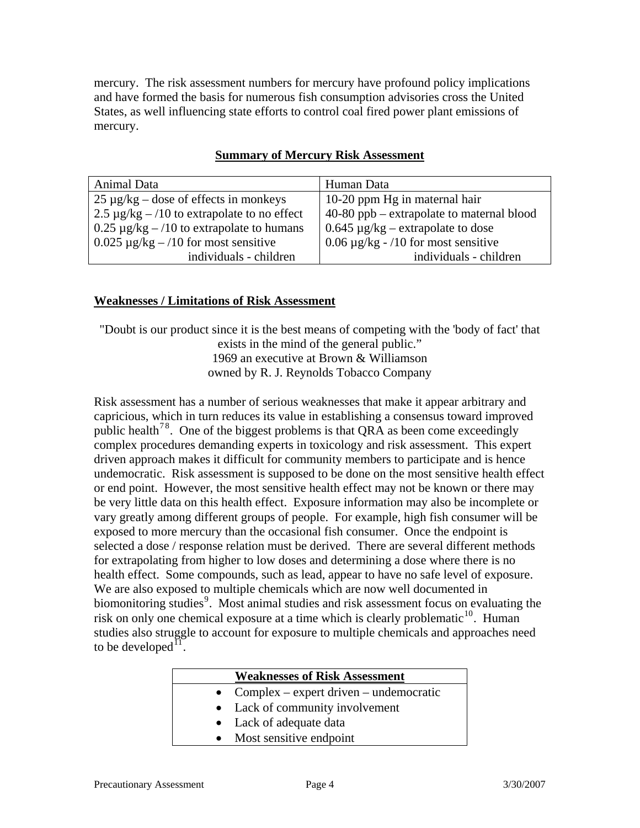mercury. The risk assessment numbers for mercury have profound policy implications and have formed the basis for numerous fish consumption advisories cross the United States, as well influencing state efforts to control coal fired power plant emissions of mercury.

| Animal Data                                      | Human Data                                |
|--------------------------------------------------|-------------------------------------------|
| $25 \mu g/kg -$ dose of effects in monkeys       | 10-20 ppm Hg in maternal hair             |
| 2.5 $\mu$ g/kg – /10 to extrapolate to no effect | 40-80 ppb – extrapolate to maternal blood |
| $0.25 \mu$ g/kg -/10 to extrapolate to humans    | $0.645 \mu$ g/kg – extrapolate to dose    |
| $0.025 \mu g/kg - 10$ for most sensitive         | $0.06 \mu g/kg - 10$ for most sensitive   |
| individuals - children                           | individuals - children                    |

### **Summary of Mercury Risk Assessment**

#### **Weaknesses / Limitations of Risk Assessment**

"Doubt is our product since it is the best means of competing with the 'body of fact' that exists in the mind of the general public." 1969 an executive at Brown & Williamson owned by R. J. Reynolds Tobacco Company

Risk assessment has a number of serious weaknesses that make it appear arbitrary and capricious, which in turn reduces its value in establishing a consensus toward improved public health<sup>[7](#page-9-1)[8](#page-9-1)</sup>. One of the biggest problems is that QRA as been come exceedingly complex procedures demanding experts in toxicology and risk assessment. This expert driven approach makes it difficult for community members to participate and is hence undemocratic. Risk assessment is supposed to be done on the most sensitive health effect or end point. However, the most sensitive health effect may not be known or there may be very little data on this health effect. Exposure information may also be incomplete or vary greatly among different groups of people. For example, high fish consumer will be exposed to more mercury than the occasional fish consumer. Once the endpoint is selected a dose / response relation must be derived. There are several different methods for extrapolating from higher to low doses and determining a dose where there is no health effect. Some compounds, such as lead, appear to have no safe level of exposure. We are also exposed to multiple chemicals which are now well documented in biomonitoring studies<sup>[9](#page-9-1)</sup>. Most animal studies and risk assessment focus on evaluating the risk on only one chemical exposure at a time which is clearly problematic  $10$ . Human studies also struggle to account for exposure to multiple chemicals and approaches need to be developed $11$ .

|           | <b>Weaknesses of Risk Assessment</b>     |
|-----------|------------------------------------------|
|           | • Complex – expert driven – undemocratic |
| $\bullet$ | Lack of community involvement            |
| $\bullet$ | Lack of adequate data                    |
|           | Most sensitive endpoint                  |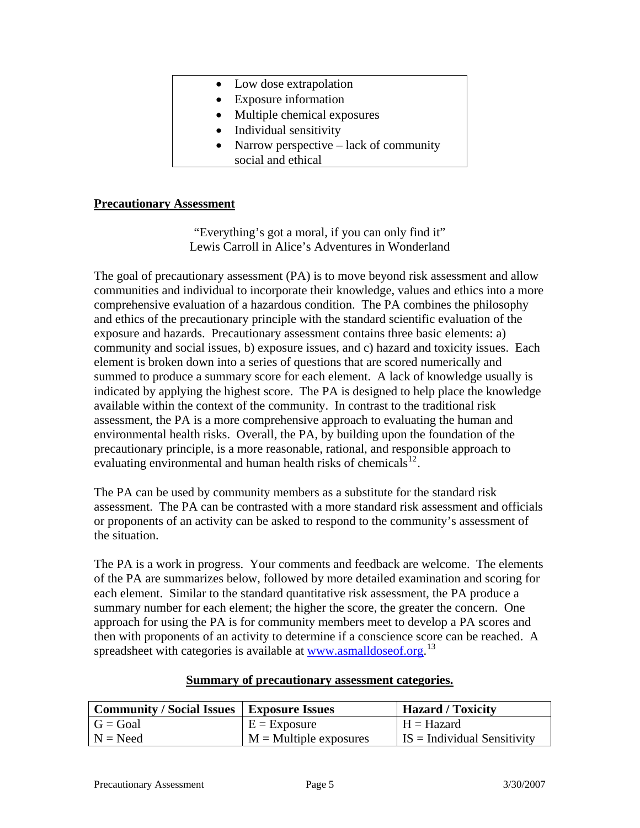- Low dose extrapolation
- Exposure information
- Multiple chemical exposures
- Individual sensitivity
- Narrow perspective lack of community social and ethical

## **Precautionary Assessment**

"Everything's got a moral, if you can only find it" Lewis Carroll in Alice's Adventures in Wonderland

The goal of precautionary assessment (PA) is to move beyond risk assessment and allow communities and individual to incorporate their knowledge, values and ethics into a more comprehensive evaluation of a hazardous condition. The PA combines the philosophy and ethics of the precautionary principle with the standard scientific evaluation of the exposure and hazards. Precautionary assessment contains three basic elements: a) community and social issues, b) exposure issues, and c) hazard and toxicity issues. Each element is broken down into a series of questions that are scored numerically and summed to produce a summary score for each element. A lack of knowledge usually is indicated by applying the highest score. The PA is designed to help place the knowledge available within the context of the community. In contrast to the traditional risk assessment, the PA is a more comprehensive approach to evaluating the human and environmental health risks. Overall, the PA, by building upon the foundation of the precautionary principle, is a more reasonable, rational, and responsible approach to evaluating environmental and human health risks of chemicals $12$ .

The PA can be used by community members as a substitute for the standard risk assessment. The PA can be contrasted with a more standard risk assessment and officials or proponents of an activity can be asked to respond to the community's assessment of the situation.

The PA is a work in progress. Your comments and feedback are welcome. The elements of the PA are summarizes below, followed by more detailed examination and scoring for each element. Similar to the standard quantitative risk assessment, the PA produce a summary number for each element; the higher the score, the greater the concern. One approach for using the PA is for community members meet to develop a PA scores and then with proponents of an activity to determine if a conscience score can be reached. A spreadsheet with categories is available at [www.asmalldoseof.org](http://www.asmalldoseof.org/).<sup>[13](#page-9-1)</sup>

| <b>Community / Social Issues   Exposure Issues</b> |                          | <b>Hazard</b> / Toxicity            |
|----------------------------------------------------|--------------------------|-------------------------------------|
| $G = Goal$                                         | $E = Exposure$           | $H = Hazard$                        |
| $N = Need$                                         | $M =$ Multiple exposures | $\vert$ IS = Individual Sensitivity |

#### **Summary of precautionary assessment categories.**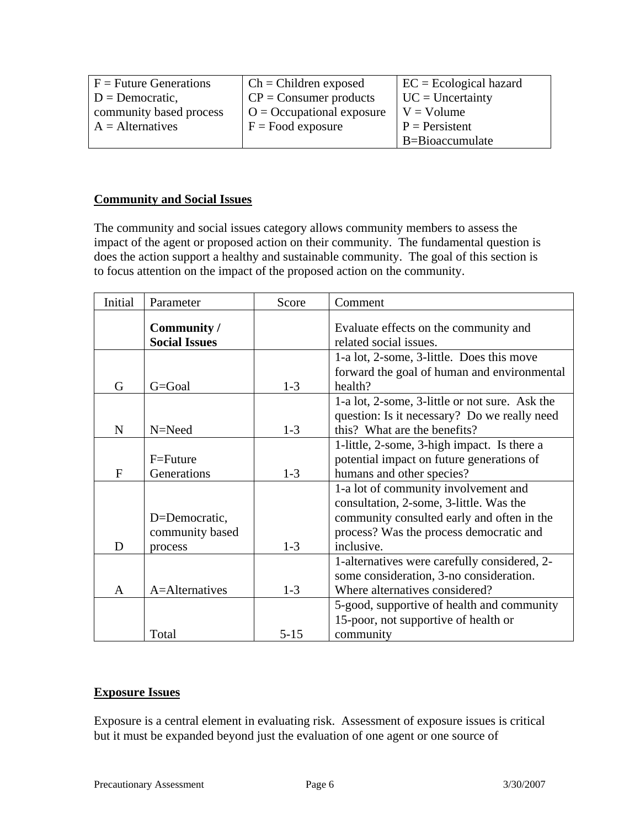| $F =$ Future Generations | $Ch = Children$ exposed     | $\vert$ EC = Ecological hazard |
|--------------------------|-----------------------------|--------------------------------|
| $D = Demoncratic$ ,      | $CP =$ Consumer products    | $\vert$ UC = Uncertainty       |
| community based process  | $O = Occupational exposure$ | $V = Volume$                   |
| $A =$ Alternatives       | $F = Food$ exposure         | $P =$ Persistent               |
|                          |                             | B=Bioaccumulate                |

# **Community and Social Issues**

The community and social issues category allows community members to assess the impact of the agent or proposed action on their community. The fundamental question is does the action support a healthy and sustainable community. The goal of this section is to focus attention on the impact of the proposed action on the community.

| Initial | Parameter                                   | Score    | Comment                                                                                                                                                                                |
|---------|---------------------------------------------|----------|----------------------------------------------------------------------------------------------------------------------------------------------------------------------------------------|
|         | Community /<br><b>Social Issues</b>         |          | Evaluate effects on the community and<br>related social issues.                                                                                                                        |
| G       | G=Goal                                      | $1-3$    | 1-a lot, 2-some, 3-little. Does this move<br>forward the goal of human and environmental<br>health?                                                                                    |
| N       | N=Need                                      | $1-3$    | 1-a lot, 2-some, 3-little or not sure. Ask the<br>question: Is it necessary? Do we really need<br>this? What are the benefits?                                                         |
| F       | F=Future<br>Generations                     | $1-3$    | 1-little, 2-some, 3-high impact. Is there a<br>potential impact on future generations of<br>humans and other species?                                                                  |
| D       | D=Democratic,<br>community based<br>process | $1 - 3$  | 1-a lot of community involvement and<br>consultation, 2-some, 3-little. Was the<br>community consulted early and often in the<br>process? Was the process democratic and<br>inclusive. |
| A       | A=Alternatives                              | $1-3$    | 1-alternatives were carefully considered, 2-<br>some consideration, 3-no consideration.<br>Where alternatives considered?                                                              |
|         | Total                                       | $5 - 15$ | 5-good, supportive of health and community<br>15-poor, not supportive of health or<br>community                                                                                        |

# **Exposure Issues**

Exposure is a central element in evaluating risk. Assessment of exposure issues is critical but it must be expanded beyond just the evaluation of one agent or one source of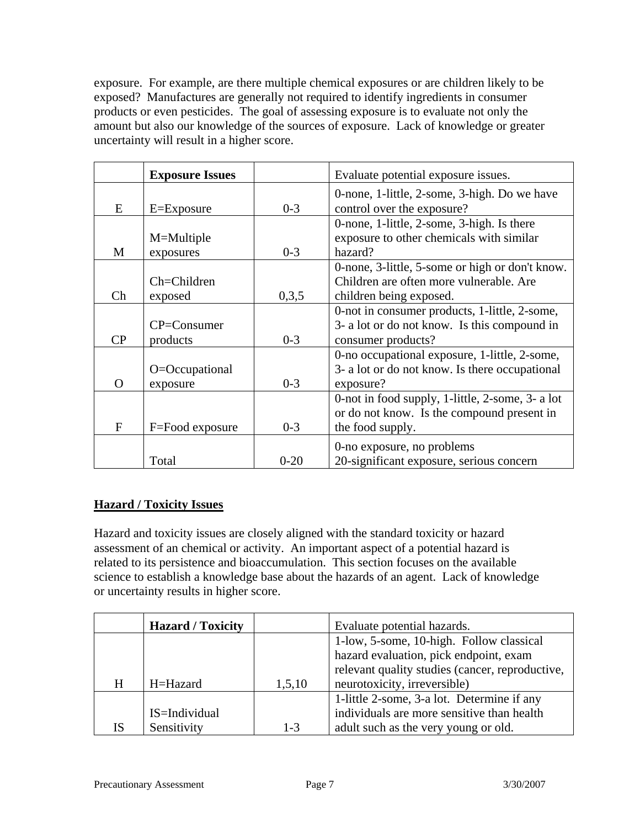exposure. For example, are there multiple chemical exposures or are children likely to be exposed? Manufactures are generally not required to identify ingredients in consumer products or even pesticides. The goal of assessing exposure is to evaluate not only the amount but also our knowledge of the sources of exposure. Lack of knowledge or greater uncertainty will result in a higher score.

|                                 | <b>Exposure Issues</b>        |          | Evaluate potential exposure issues.                                                                                   |
|---------------------------------|-------------------------------|----------|-----------------------------------------------------------------------------------------------------------------------|
| E                               | $E=Exposure$                  | $0 - 3$  | 0-none, 1-little, 2-some, 3-high. Do we have<br>control over the exposure?                                            |
| M                               | M=Multiple<br>exposures       | $0 - 3$  | 0-none, 1-little, 2-some, 3-high. Is there<br>exposure to other chemicals with similar<br>hazard?                     |
| $\mathop{\mathrm{Ch}}\nolimits$ | Ch=Children<br>exposed        | 0,3,5    | 0-none, 3-little, 5-some or high or don't know.<br>Children are often more vulnerable. Are<br>children being exposed. |
| CP                              | CP=Consumer<br>products       | $0 - 3$  | 0-not in consumer products, 1-little, 2-some,<br>3- a lot or do not know. Is this compound in<br>consumer products?   |
| $\Omega$                        | $O=Occ$ upational<br>exposure | $0 - 3$  | 0-no occupational exposure, 1-little, 2-some,<br>3- a lot or do not know. Is there occupational<br>exposure?          |
| F                               | F=Food exposure               | $0 - 3$  | 0-not in food supply, 1-little, 2-some, 3- a lot<br>or do not know. Is the compound present in<br>the food supply.    |
|                                 | Total                         | $0 - 20$ | 0-no exposure, no problems<br>20-significant exposure, serious concern                                                |

# **Hazard / Toxicity Issues**

Hazard and toxicity issues are closely aligned with the standard toxicity or hazard assessment of an chemical or activity. An important aspect of a potential hazard is related to its persistence and bioaccumulation. This section focuses on the available science to establish a knowledge base about the hazards of an agent. Lack of knowledge or uncertainty results in higher score.

|    | <b>Hazard</b> / Toxicity |         | Evaluate potential hazards.                     |
|----|--------------------------|---------|-------------------------------------------------|
|    |                          |         | 1-low, 5-some, 10-high. Follow classical        |
|    |                          |         | hazard evaluation, pick endpoint, exam          |
|    |                          |         | relevant quality studies (cancer, reproductive, |
| H  | H=Hazard                 | 1,5,10  | neurotoxicity, irreversible)                    |
|    |                          |         | 1-little 2-some, 3-a lot. Determine if any      |
|    | IS=Individual            |         | individuals are more sensitive than health      |
| IS | Sensitivity              | $1 - 3$ | adult such as the very young or old.            |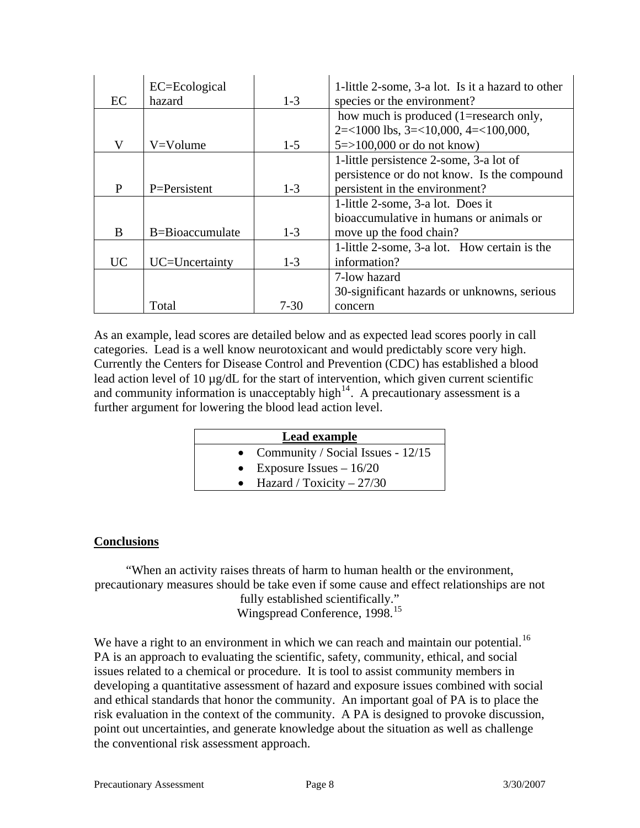|              | EC=Ecological    |          | 1-little 2-some, 3-a lot. Is it a hazard to other |
|--------------|------------------|----------|---------------------------------------------------|
| EC           | hazard           | $1-3$    | species or the environment?                       |
|              |                  |          | how much is produced (1=research only,            |
|              |                  |          | $2 = 1000$ lbs, $3 = 10,000$ , $4 = 100,000$ ,    |
| V            | V=Volume         | $1 - 5$  | $5 = > 100,000$ or do not know)                   |
|              |                  |          | 1-little persistence 2-some, 3-a lot of           |
|              |                  |          | persistence or do not know. Is the compound       |
| P            | $P =$ Persistent | $1-3$    | persistent in the environment?                    |
|              |                  |          | 1-little 2-some, 3-a lot. Does it                 |
|              |                  |          | bioaccumulative in humans or animals or           |
| <sub>B</sub> | B=Bioaccumulate  | $1-3$    | move up the food chain?                           |
|              |                  |          | 1-little 2-some, 3-a lot. How certain is the      |
| UC           | UC=Uncertainty   | $1-3$    | information?                                      |
|              |                  |          | 7-low hazard                                      |
|              |                  |          | 30-significant hazards or unknowns, serious       |
|              | Total            | $7 - 30$ | concern                                           |

As an example, lead scores are detailed below and as expected lead scores poorly in call categories. Lead is a well know neurotoxicant and would predictably score very high. Currently the Centers for Disease Control and Prevention (CDC) has established a blood lead action level of 10  $\mu$ g/dL for the start of intervention, which given current scientific and community information is unacceptably high $14$ . A precautionary assessment is a further argument for lowering the blood lead action level.

| Lead example                      |
|-----------------------------------|
| Community / Social Issues - 12/15 |
| Exposure Issues $-16/20$          |
| Hazard / Toxicity $-27/30$        |

# **Conclusions**

"When an activity raises threats of harm to human health or the environment, precautionary measures should be take even if some cause and effect relationships are not fully established scientifically." Wingspread Conference, 1998.[15](#page-9-1)

We have a right to an environment in which we can reach and maintain our potential.<sup>[16](#page-9-1)</sup> PA is an approach to evaluating the scientific, safety, community, ethical, and social issues related to a chemical or procedure. It is tool to assist community members in developing a quantitative assessment of hazard and exposure issues combined with social and ethical standards that honor the community. An important goal of PA is to place the risk evaluation in the context of the community. A PA is designed to provoke discussion, point out uncertainties, and generate knowledge about the situation as well as challenge the conventional risk assessment approach.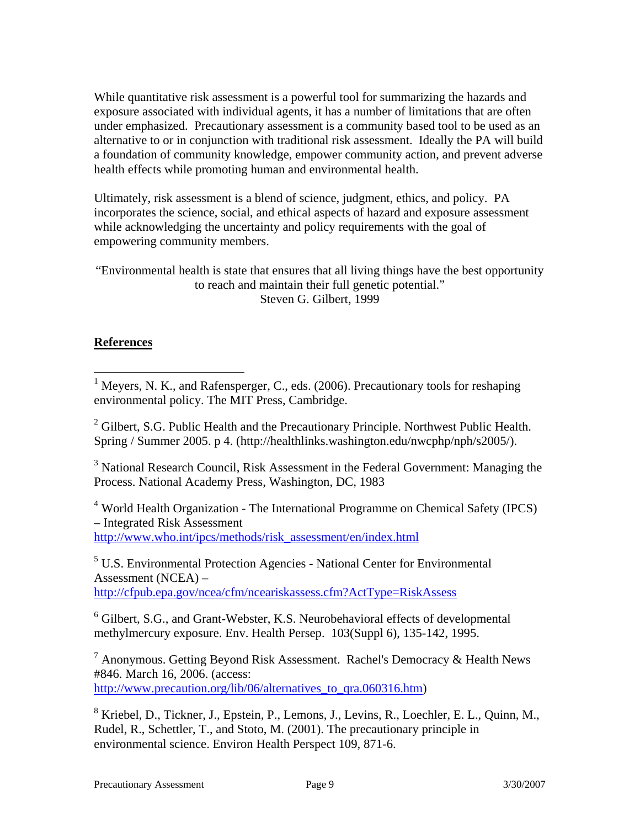While quantitative risk assessment is a powerful tool for summarizing the hazards and exposure associated with individual agents, it has a number of limitations that are often under emphasized. Precautionary assessment is a community based tool to be used as an alternative to or in conjunction with traditional risk assessment. Ideally the PA will build a foundation of community knowledge, empower community action, and prevent adverse health effects while promoting human and environmental health.

Ultimately, risk assessment is a blend of science, judgment, ethics, and policy. PA incorporates the science, social, and ethical aspects of hazard and exposure assessment while acknowledging the uncertainty and policy requirements with the goal of empowering community members.

"Environmental health is state that ensures that all living things have the best opportunity to reach and maintain their full genetic potential." Steven G. Gilbert, 1999

# **References**

<sup>1</sup> Meyers, N. K., and Rafensperger, C., eds. (2006). Precautionary tools for reshaping environmental policy. The MIT Press, Cambridge.

 $2^2$  Gilbert, S.G. Public Health and the Precautionary Principle. Northwest Public Health. Spring / Summer 2005. p 4. (http://healthlinks.washington.edu/nwcphp/nph/s2005/).

<sup>3</sup> National Research Council, Risk Assessment in the Federal Government: Managing the Process. National Academy Press, Washington, DC, 1983

<sup>4</sup> World Health Organization - The International Programme on Chemical Safety (IPCS) – Integrated Risk Assessment [http://www.who.int/ipcs/methods/risk\\_assessment/en/index.html](http://www.who.int/ipcs/methods/risk_assessment/en/index.html) 

<sup>5</sup> U.S. Environmental Protection Agencies - National Center for Environmental Assessment (NCEA) – <http://cfpub.epa.gov/ncea/cfm/nceariskassess.cfm?ActType=RiskAssess>

<sup>6</sup> Gilbert, S.G., and Grant-Webster, K.S. Neurobehavioral effects of developmental methylmercury exposure. Env. Health Persep. 103(Suppl 6), 135-142, 1995.

<sup>7</sup> Anonymous. Getting Beyond Risk Assessment. Rachel's Democracy & Health News #846. March 16, 2006. (access: http://www.precaution.org/lib/06/alternatives to qra.060316.htm)

<sup>8</sup> Kriebel, D., Tickner, J., Epstein, P., Lemons, J., Levins, R., Loechler, E. L., Quinn, M., Rudel, R., Schettler, T., and Stoto, M. (2001). The precautionary principle in environmental science. Environ Health Perspect 109, 871-6.